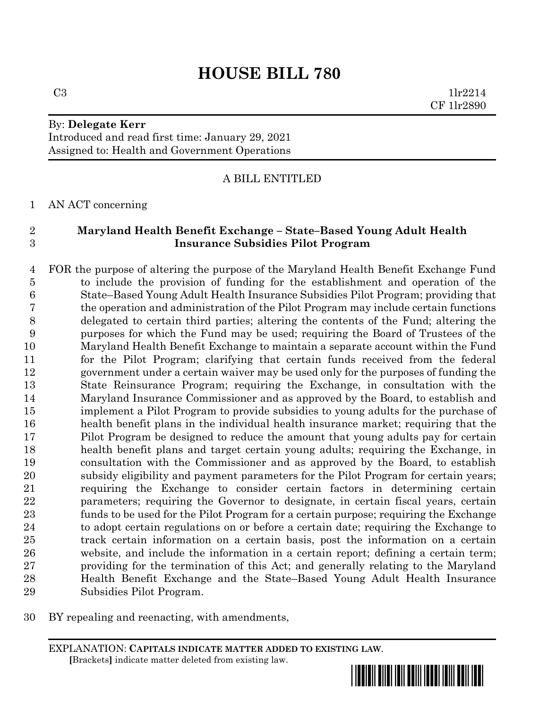# **HOUSE BILL 780**

 $C3$  1lr2214 CF 1lr2890

#### By: **Delegate Kerr** Introduced and read first time: January 29, 2021

Assigned to: Health and Government Operations

### A BILL ENTITLED

#### AN ACT concerning

## **Maryland Health Benefit Exchange – State–Based Young Adult Health Insurance Subsidies Pilot Program**

 FOR the purpose of altering the purpose of the Maryland Health Benefit Exchange Fund to include the provision of funding for the establishment and operation of the State–Based Young Adult Health Insurance Subsidies Pilot Program; providing that the operation and administration of the Pilot Program may include certain functions delegated to certain third parties; altering the contents of the Fund; altering the purposes for which the Fund may be used; requiring the Board of Trustees of the Maryland Health Benefit Exchange to maintain a separate account within the Fund for the Pilot Program; clarifying that certain funds received from the federal government under a certain waiver may be used only for the purposes of funding the State Reinsurance Program; requiring the Exchange, in consultation with the Maryland Insurance Commissioner and as approved by the Board, to establish and implement a Pilot Program to provide subsidies to young adults for the purchase of health benefit plans in the individual health insurance market; requiring that the Pilot Program be designed to reduce the amount that young adults pay for certain health benefit plans and target certain young adults; requiring the Exchange, in consultation with the Commissioner and as approved by the Board, to establish subsidy eligibility and payment parameters for the Pilot Program for certain years; requiring the Exchange to consider certain factors in determining certain parameters; requiring the Governor to designate, in certain fiscal years, certain funds to be used for the Pilot Program for a certain purpose; requiring the Exchange to adopt certain regulations on or before a certain date; requiring the Exchange to track certain information on a certain basis, post the information on a certain website, and include the information in a certain report; defining a certain term; providing for the termination of this Act; and generally relating to the Maryland Health Benefit Exchange and the State–Based Young Adult Health Insurance Subsidies Pilot Program.

BY repealing and reenacting, with amendments,

EXPLANATION: **CAPITALS INDICATE MATTER ADDED TO EXISTING LAW**.  **[**Brackets**]** indicate matter deleted from existing law.

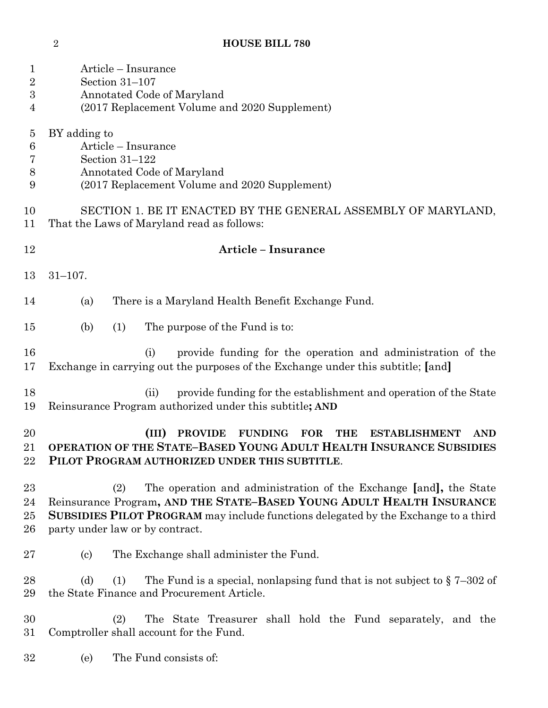| $\mathbf 1$<br>$\overline{2}$<br>$\boldsymbol{3}$<br>4 | Article – Insurance<br>Section 31-107<br>Annotated Code of Maryland<br>(2017 Replacement Volume and 2020 Supplement)                                                                                                                                                       |
|--------------------------------------------------------|----------------------------------------------------------------------------------------------------------------------------------------------------------------------------------------------------------------------------------------------------------------------------|
| $\overline{5}$<br>$\boldsymbol{6}$<br>7<br>8<br>9      | BY adding to<br>Article – Insurance<br>Section 31-122<br>Annotated Code of Maryland<br>(2017 Replacement Volume and 2020 Supplement)                                                                                                                                       |
| 10<br>11                                               | SECTION 1. BE IT ENACTED BY THE GENERAL ASSEMBLY OF MARYLAND,<br>That the Laws of Maryland read as follows:                                                                                                                                                                |
| 12                                                     | <b>Article - Insurance</b>                                                                                                                                                                                                                                                 |
| 13                                                     | $31 - 107.$                                                                                                                                                                                                                                                                |
| 14                                                     | There is a Maryland Health Benefit Exchange Fund.<br>(a)                                                                                                                                                                                                                   |
| 15                                                     | (b)<br>(1)<br>The purpose of the Fund is to:                                                                                                                                                                                                                               |
| 16<br>17                                               | provide funding for the operation and administration of the<br>(i)<br>Exchange in carrying out the purposes of the Exchange under this subtitle; [and]                                                                                                                     |
| 18<br>19                                               | provide funding for the establishment and operation of the State<br>(ii)<br>Reinsurance Program authorized under this subtitle; AND                                                                                                                                        |
| 20<br>21<br>22                                         | (III)<br><b>PROVIDE</b><br><b>FUNDING</b><br><b>ESTABLISHMENT</b><br><b>FOR</b><br><b>THE</b><br><b>AND</b><br>OPERATION OF THE STATE-BASED YOUNG ADULT HEALTH INSURANCE SUBSIDIES<br>PILOT PROGRAM AUTHORIZED UNDER THIS SUBTITLE.                                        |
| 23<br>24<br>25<br>26                                   | The operation and administration of the Exchange [and], the State<br>(2)<br>Reinsurance Program, AND THE STATE-BASED YOUNG ADULT HEALTH INSURANCE<br>SUBSIDIES PILOT PROGRAM may include functions delegated by the Exchange to a third<br>party under law or by contract. |
| 27                                                     | The Exchange shall administer the Fund.<br>$\left( \mathrm{c}\right)$                                                                                                                                                                                                      |
| 28<br>29                                               | (d)<br>The Fund is a special, nonlapsing fund that is not subject to $\S 7-302$ of<br>(1)<br>the State Finance and Procurement Article.                                                                                                                                    |
| 30<br>31                                               | The State Treasurer shall hold the Fund separately, and the<br>(2)<br>Comptroller shall account for the Fund.                                                                                                                                                              |
| 32                                                     | The Fund consists of:<br>(e)                                                                                                                                                                                                                                               |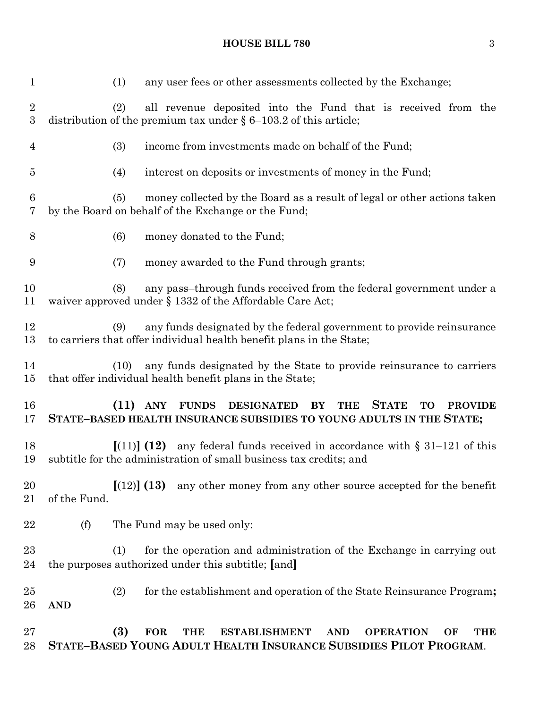## **HOUSE BILL 780** 3

| $\mathbf{1}$          | any user fees or other assessments collected by the Exchange;<br>(1)                                                                                                               |
|-----------------------|------------------------------------------------------------------------------------------------------------------------------------------------------------------------------------|
| $\boldsymbol{2}$<br>3 | all revenue deposited into the Fund that is received from the<br>(2)<br>distribution of the premium tax under $\S 6-103.2$ of this article;                                        |
| $\overline{4}$        | (3)<br>income from investments made on behalf of the Fund;                                                                                                                         |
| $\overline{5}$        | interest on deposits or investments of money in the Fund;<br>(4)                                                                                                                   |
| $\,6$<br>7            | money collected by the Board as a result of legal or other actions taken<br>(5)<br>by the Board on behalf of the Exchange or the Fund;                                             |
| 8                     | (6)<br>money donated to the Fund;                                                                                                                                                  |
| 9                     | money awarded to the Fund through grants;<br>(7)                                                                                                                                   |
| 10<br>11              | any pass-through funds received from the federal government under a<br>(8)<br>waiver approved under $\S$ 1332 of the Affordable Care Act;                                          |
| 12<br>13              | any funds designated by the federal government to provide reinsurance<br>(9)<br>to carriers that offer individual health benefit plans in the State;                               |
| 14<br>$15\,$          | any funds designated by the State to provide reinsurance to carriers<br>(10)<br>that offer individual health benefit plans in the State;                                           |
| 16<br>17              | FUNDS DESIGNATED BY<br><b>THE</b><br><b>STATE</b><br>$(11)$ ANY<br>TO<br><b>PROVIDE</b><br>STATE-BASED HEALTH INSURANCE SUBSIDIES TO YOUNG ADULTS IN THE STATE;                    |
| 18<br>19              | $[(11)]$ $(12)$<br>any federal funds received in accordance with $\S$ 31–121 of this<br>subtitle for the administration of small business tax credits; and                         |
| 20<br>21              | [(12)] (13)<br>any other money from any other source accepted for the benefit<br>of the Fund.                                                                                      |
| 22                    | (f)<br>The Fund may be used only:                                                                                                                                                  |
| 23<br>24              | for the operation and administration of the Exchange in carrying out<br>(1)<br>the purposes authorized under this subtitle; [and]                                                  |
| $25\,$<br>26          | for the establishment and operation of the State Reinsurance Program;<br>(2)<br><b>AND</b>                                                                                         |
| $27\,$<br>28          | (3)<br><b>FOR</b><br><b>THE</b><br><b>ESTABLISHMENT</b><br><b>AND</b><br><b>OPERATION</b><br>OF<br><b>THE</b><br>STATE-BASED YOUNG ADULT HEALTH INSURANCE SUBSIDIES PILOT PROGRAM. |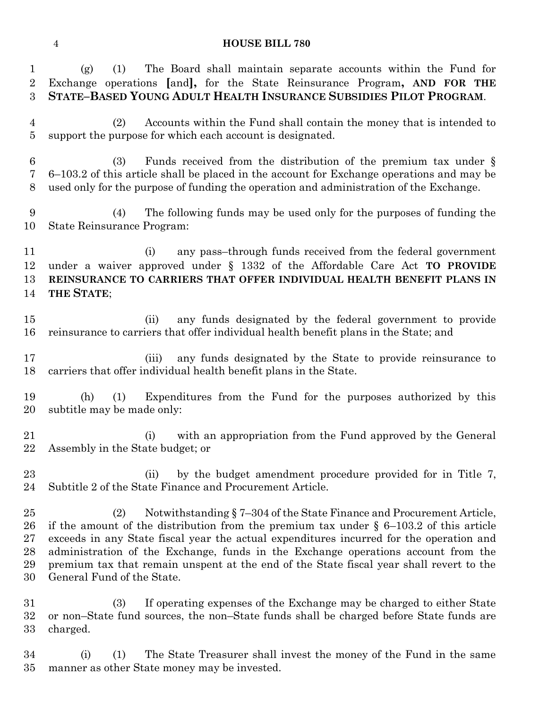## **HOUSE BILL 780**

| $\mathbf 1$<br>$\overline{2}$<br>3   | The Board shall maintain separate accounts within the Fund for<br>(1)<br>(g)<br>Exchange operations [and], for the State Reinsurance Program, AND FOR THE<br>STATE-BASED YOUNG ADULT HEALTH INSURANCE SUBSIDIES PILOT PROGRAM.                                                                                                                                                                                                                                                     |
|--------------------------------------|------------------------------------------------------------------------------------------------------------------------------------------------------------------------------------------------------------------------------------------------------------------------------------------------------------------------------------------------------------------------------------------------------------------------------------------------------------------------------------|
| $\overline{4}$<br>$\overline{5}$     | Accounts within the Fund shall contain the money that is intended to<br>(2)<br>support the purpose for which each account is designated.                                                                                                                                                                                                                                                                                                                                           |
| 6<br>7<br>8                          | Funds received from the distribution of the premium tax under $\S$<br>(3)<br>6–103.2 of this article shall be placed in the account for Exchange operations and may be<br>used only for the purpose of funding the operation and administration of the Exchange.                                                                                                                                                                                                                   |
| 9<br>10                              | The following funds may be used only for the purposes of funding the<br>(4)<br>State Reinsurance Program:                                                                                                                                                                                                                                                                                                                                                                          |
| 11<br>12<br>13<br>14                 | any pass-through funds received from the federal government<br>(i)<br>under a waiver approved under $\S$ 1332 of the Affordable Care Act TO PROVIDE<br>REINSURANCE TO CARRIERS THAT OFFER INDIVIDUAL HEALTH BENEFIT PLANS IN<br>THE STATE;                                                                                                                                                                                                                                         |
| 15<br>16                             | any funds designated by the federal government to provide<br>(ii)<br>reinsurance to carriers that offer individual health benefit plans in the State; and                                                                                                                                                                                                                                                                                                                          |
| 17<br>18                             | any funds designated by the State to provide reinsurance to<br>(iii)<br>carriers that offer individual health benefit plans in the State.                                                                                                                                                                                                                                                                                                                                          |
| 19<br>20                             | Expenditures from the Fund for the purposes authorized by this<br>(h)<br>(1)<br>subtitle may be made only:                                                                                                                                                                                                                                                                                                                                                                         |
| 21<br>22                             | with an appropriation from the Fund approved by the General<br>(i)<br>Assembly in the State budget; or                                                                                                                                                                                                                                                                                                                                                                             |
| 23<br>24                             | by the budget amendment procedure provided for in Title 7,<br>(ii)<br>Subtitle 2 of the State Finance and Procurement Article.                                                                                                                                                                                                                                                                                                                                                     |
| 25<br>26<br>$27\,$<br>28<br>29<br>30 | Notwithstanding § 7–304 of the State Finance and Procurement Article,<br>(2)<br>if the amount of the distribution from the premium tax under $\S$ 6-103.2 of this article<br>exceeds in any State fiscal year the actual expenditures incurred for the operation and<br>administration of the Exchange, funds in the Exchange operations account from the<br>premium tax that remain unspent at the end of the State fiscal year shall revert to the<br>General Fund of the State. |
| $31\,$<br>$32\,$<br>$33\,$           | If operating expenses of the Exchange may be charged to either State<br>(3)<br>or non-State fund sources, the non-State funds shall be charged before State funds are<br>charged.                                                                                                                                                                                                                                                                                                  |
| 34                                   | The State Treasurer shall invest the money of the Fund in the same<br>(i)<br>(1)                                                                                                                                                                                                                                                                                                                                                                                                   |

manner as other State money may be invested.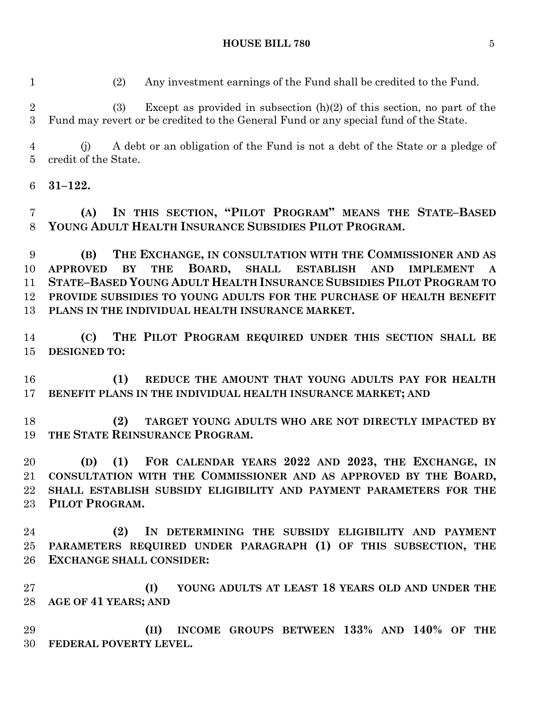(2) Any investment earnings of the Fund shall be credited to the Fund.

 (3) Except as provided in subsection (h)(2) of this section, no part of the Fund may revert or be credited to the General Fund or any special fund of the State.

 (j) A debt or an obligation of the Fund is not a debt of the State or a pledge of credit of the State.

**31–122.**

 **(A) IN THIS SECTION, "PILOT PROGRAM" MEANS THE STATE–BASED YOUNG ADULT HEALTH INSURANCE SUBSIDIES PILOT PROGRAM.**

 **(B) THE EXCHANGE, IN CONSULTATION WITH THE COMMISSIONER AND AS APPROVED BY THE BOARD, SHALL ESTABLISH AND IMPLEMENT A STATE–BASED YOUNG ADULT HEALTH INSURANCE SUBSIDIES PILOT PROGRAM TO PROVIDE SUBSIDIES TO YOUNG ADULTS FOR THE PURCHASE OF HEALTH BENEFIT PLANS IN THE INDIVIDUAL HEALTH INSURANCE MARKET.**

 **(C) THE PILOT PROGRAM REQUIRED UNDER THIS SECTION SHALL BE DESIGNED TO:**

 **(1) REDUCE THE AMOUNT THAT YOUNG ADULTS PAY FOR HEALTH BENEFIT PLANS IN THE INDIVIDUAL HEALTH INSURANCE MARKET; AND**

 **(2) TARGET YOUNG ADULTS WHO ARE NOT DIRECTLY IMPACTED BY THE STATE REINSURANCE PROGRAM.**

 **(D) (1) FOR CALENDAR YEARS 2022 AND 2023, THE EXCHANGE, IN CONSULTATION WITH THE COMMISSIONER AND AS APPROVED BY THE BOARD, SHALL ESTABLISH SUBSIDY ELIGIBILITY AND PAYMENT PARAMETERS FOR THE PILOT PROGRAM.**

 **(2) IN DETERMINING THE SUBSIDY ELIGIBILITY AND PAYMENT PARAMETERS REQUIRED UNDER PARAGRAPH (1) OF THIS SUBSECTION, THE EXCHANGE SHALL CONSIDER:**

 **(I) YOUNG ADULTS AT LEAST 18 YEARS OLD AND UNDER THE AGE OF 41 YEARS; AND**

 **(II) INCOME GROUPS BETWEEN 133% AND 140% OF THE FEDERAL POVERTY LEVEL.**